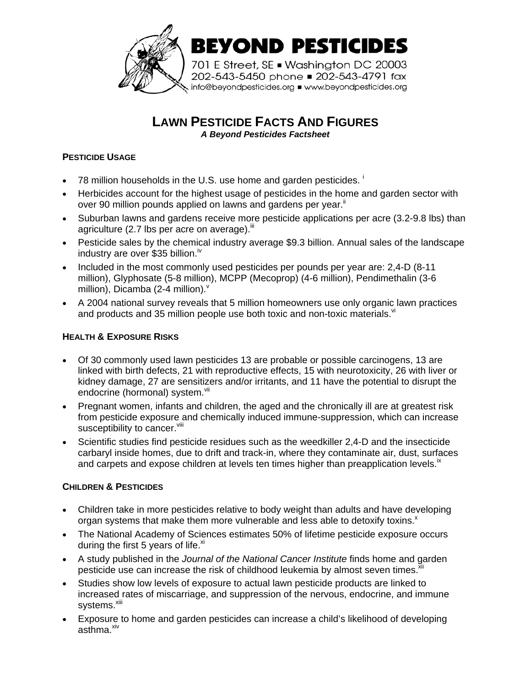

**LAWN PESTICIDE FACTS AND FIGURES**

*A Beyond Pesticides Factsheet*

## **PESTICIDE USAGE**

- 78 m[i](#page-3-0)llion households in the U.S. use home and garden pesticides.<sup>1</sup>
- Herbicides account for the highest usage of pesticides in the home and garden sector with over90 million pounds applied on lawns and gardens per year.<sup>ii</sup>
- Suburban lawns and gardens receive more pesticide applications per acre (3.2-9.8 lbs) than agriculture (2.7 lbs per acre on average). $\mathbb{I}$
- Pesticide sales by the chemical industry average \$9.3 billion. Annual sales of the landscape industry are over \$35 billion.<sup>[iv](#page-3-3)</sup>
- Included in the most commonly used pesticides per pounds per year are: 2,4-D (8-11 million), Glyphosate (5-8 million), MCPP (Mecoprop) (4-6 million), Pendimethalin (3-6 million), Dicamba (2-4 million). $<sup>v</sup>$  $<sup>v</sup>$  $<sup>v</sup>$ </sup>
- A 2004 national survey reveals that 5 million homeowners use only organic lawn practices and products and 35 million people use both toxic and non-toxic materials. $V$

## **HEALTH & EXPOSURE RISKS**

- Of 30 commonly used lawn pesticides 13 are probable or possible carcinogens, 13 are linked with birth defects, 21 with reproductive effects, 15 with neurotoxicity, 26 with liver or kidney damage, 27 are sensitizers and/or irritants, and 11 have the potential to disrupt the endocrine(hormonal) system.<sup>vii</sup>
- Pregnant women, infants and children, the aged and the chronically ill are at greatest risk from pesticide exposure and chemically induced immune-suppression, which can increase susceptibility to cancer. Vili
- Scientific studies find pesticide residues such as the weedkiller 2,4-D and the insecticide carbaryl inside homes, due to drift and track-in, where they contaminate air, dust, surfaces and carpets and expose children at levels ten times higher than preapplication levels.<sup>[ix](#page-3-8)</sup>

#### **CHILDREN & PESTICIDES**

- Children take in more pesticides relative to body weight than adults and have developing organ systems that make them more vulnerable and less able to deto[x](#page-3-9)ify toxins. $^{\text{x}}$
- The National Academy of Sciences estimates 50% of lifetime pesticide exposure occurs during the first 5 years of life. $x$ <sup>i</sup>
- A study published in the *Journal of the National Cancer Institute* finds home and garden pesticide use can increase the risk of childhood leukemia by almost seven times. $^{\text{xii}}$  $^{\text{xii}}$  $^{\text{xii}}$
- Studies show low levels of exposure to actual lawn pesticide products are linked to increased rates of miscarriage, and suppression of the nervous, endocrine, and immune systems.<sup>[xiii](#page-3-12)</sup>
- Exposure to home and garden pesticides can increase a child's likelihood of developing asthma.<sup>[xiv](#page-3-13)</sup>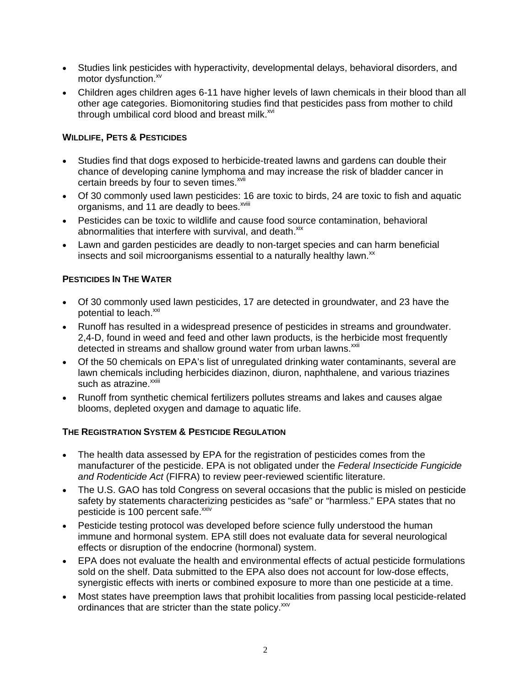- Studies link pesticides with hyperactivity, developmental delays, behavioral disorders, and motor dysfunction.<sup>[xv](#page-3-14)</sup>
- Children ages children ages 6-11 have higher levels of lawn chemicals in their blood than all other age categories. Biomonitoring studies find that pesticides pass from mother to child through umbilical cord blood and breast milk. $^{xvi}$  $^{xvi}$  $^{xvi}$

## **WILDLIFE, PETS & PESTICIDES**

- Studies find that dogs exposed to herbicide-treated lawns and gardens can double their chance of developing canine lymphoma and may increase the risk of bladder cancer in certain breeds by four to seven times.<sup>[xvii](#page-3-16)</sup>
- Of 30 commonly used lawn pesticides: 16 are toxic to birds, 24 are toxic to fish and aquatic organisms, and 11 are deadly to bees.<sup>[xviii](#page-3-17)</sup>
- Pesticides can be toxic to wildlife and cause food source contamination, behavioral abnormalities that interfere with survival, and death. $x$ <sup>ix</sup>
- Lawn and garden pesticides are deadly to non-target species and can harm beneficial insects and soil microorganisms essential to a naturally healthy lawn. $^{xx}$  $^{xx}$  $^{xx}$

## **PESTICIDES IN THE WATER**

- Of 30 commonly used lawn pesticides, 17 are detected in groundwater, and 23 have the potential to leach.<sup>[xxi](#page-3-20)</sup>
- Runoff has resulted in a widespread presence of pesticides in streams and groundwater. 2,4-D, found in weed and feed and other lawn products, is the herbicide most frequently detected in streams and shallow ground water from urban lawns.<sup>[xxii](#page-3-21)</sup>
- Of the 50 chemicals on EPA's list of unregulated drinking water contaminants, several are lawn chemicals including herbicides diazinon, diuron, naphthalene, and various triazines such as atrazine.<sup>xxiii</sup>
- Runoff from synthetic chemical fertilizers pollutes streams and lakes and causes algae blooms, depleted oxygen and damage to aquatic life.

#### **THE REGISTRATION SYSTEM & PESTICIDE REGULATION**

- The health data assessed by EPA for the registration of pesticides comes from the manufacturer of the pesticide. EPA is not obligated under the *Federal Insecticide Fungicide and Rodenticide Act* (FIFRA) to review peer-reviewed scientific literature.
- The U.S. GAO has told Congress on several occasions that the public is misled on pesticide safety by statements characterizing pesticides as "safe" or "harmless." EPA states that no pesticide is 100 percent safe.<sup>[xxiv](#page-3-23)</sup>
- Pesticide testing protocol was developed before science fully understood the human immune and hormonal system. EPA still does not evaluate data for several neurological effects or disruption of the endocrine (hormonal) system.
- EPA does not evaluate the health and environmental effects of actual pesticide formulations sold on the shelf. Data submitted to the EPA also does not account for low-dose effects, synergistic effects with inerts or combined exposure to more than one pesticide at a time.
- Most states have preemption laws that prohibit localities from passing local pesticide-related ordinances that are stricter than the state policy.<sup>[xxv](#page-3-24)</sup>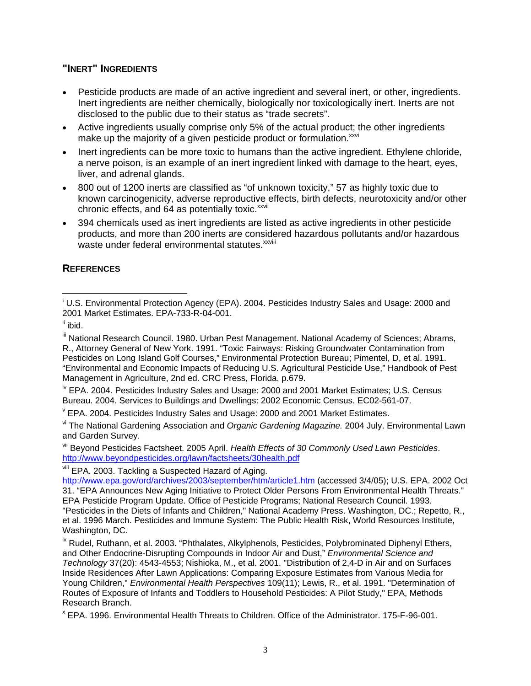# **"INERT" INGREDIENTS**

- Pesticide products are made of an active ingredient and several inert, or other, ingredients. Inert ingredients are neither chemically, biologically nor toxicologically inert. Inerts are not disclosed to the public due to their status as "trade secrets".
- Active ingredients usually comprise only 5% of the actual product; the other ingredients make up the majority of a given pesticide product or formulation. XXVI
- Inert ingredients can be more toxic to humans than the active ingredient. Ethylene chloride, a nerve poison, is an example of an inert ingredient linked with damage to the heart, eyes, liver, and adrenal glands.
- 800 out of 1200 inerts are classified as "of unknown toxicity," 57 as highly toxic due to known carcinogenicity, adverse reproductive effects, birth defects, neurotoxicity and/or other chronic effects, and 64 as potentially toxic.<sup>[xxvii](#page-3-26)</sup>
- 394 chemicals used as inert ingredients are listed as active ingredients in other pesticide products, and more than 200 inerts are considered hazardous pollutants and/or hazardous waste under federal environmental statutes.<sup>[xxviii](#page-3-27)</sup>

## **REFERENCES**

<sup>iv</sup> EPA. 2004. Pesticides Industry Sales and Usage: 2000 and 2001 Market Estimates; U.S. Census Bureau. 2004. Services to Buildings and Dwellings: 2002 Economic Census. EC02-561-07. v

 $V$  EPA. 2004. Pesticides Industry Sales and Usage: 2000 and 2001 Market Estimates.

vi The National Gardening Association and *Organic Gardening Magazine.* 2004 July. Environmental Lawn and Garden Survey.

vii Beyond Pesticides Factsheet. 2005 April. *Health Effects of 30 Commonly Used Lawn Pesticides*. http://www.beyondpesticides.org/lawn/factsheets/30health.pdf<br>viii EPA. 2003. Tackling a Suspected Hazard of Aging.

 $\overline{a}$ <sup>i</sup> U.S. Environmental Protection Agency (EPA). 2004. Pesticides Industry Sales and Usage: 2000 and 2001 Market Estimates. EPA-733-R-04-001.

ii ibid.

III National Research Council. 1980. Urban Pest Management. National Academy of Sciences; Abrams, R., Attorney General of New York. 1991. "Toxic Fairways: Risking Groundwater Contamination from Pesticides on Long Island Golf Courses," Environmental Protection Bureau; Pimentel, D, et al. 1991. "Environmental and Economic Impacts of Reducing U.S. Agricultural Pesticide Use," Handbook of Pest Management in Agriculture, 2nd ed. CRC Press, Florida, p.679.

<http://www.epa.gov/ord/archives/2003/september/htm/article1.htm> (accessed 3/4/05); U.S. EPA. 2002 Oct 31. "EPA Announces New Aging Initiative to Protect Older Persons From Environmental Health Threats." EPA Pesticide Program Update. Office of Pesticide Programs; National Research Council. 1993. "Pesticides in the Diets of Infants and Children," National Academy Press. Washington, DC.; Repetto, R., et al. 1996 March. Pesticides and Immune System: The Public Health Risk, World Resources Institute, Washington, DC.

<sup>&</sup>lt;sup>ix</sup> Rudel, Ruthann, et al. 2003. "Phthalates, Alkylphenols, Pesticides, Polybrominated Diphenyl Ethers, and Other Endocrine-Disrupting Compounds in Indoor Air and Dust," *Environmental Science and Technology* 37(20): 4543-4553; Nishioka, M., et al. 2001. "Distribution of 2,4-D in Air and on Surfaces Inside Residences After Lawn Applications: Comparing Exposure Estimates from Various Media for Young Children," *Environmental Health Perspectives* 109(11); Lewis, R., et al. 1991. "Determination of Routes of Exposure of Infants and Toddlers to Household Pesticides: A Pilot Study," EPA, Methods Research Branch.

EPA. 1996. Environmental Health Threats to Children. Office of the Administrator. 175-F-96-001.